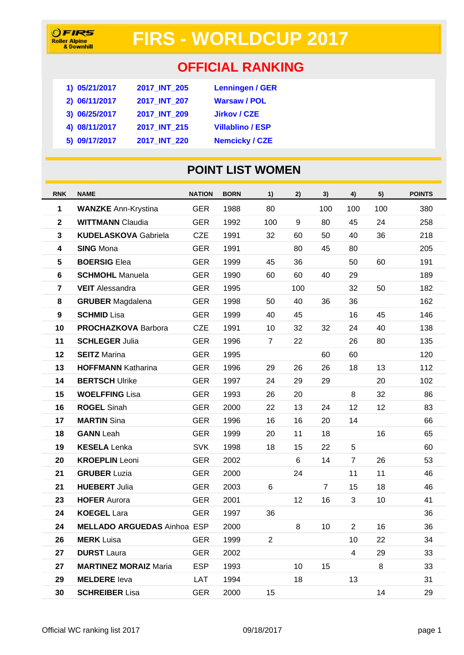# **FIRS - WORLDCUP 2017**

## **OFFICIAL RANKING**

| 1) 05/21/2017 | 2017_INT_205 | <b>Lenningen / GER</b>  |
|---------------|--------------|-------------------------|
| 2) 06/11/2017 | 2017 INT 207 | <b>Warsaw / POL</b>     |
| 3) 06/25/2017 | 2017 INT 209 | <b>Jirkov / CZE</b>     |
| 4) 08/11/2017 | 2017 INT 215 | <b>Villablino / ESP</b> |
| 5) 09/17/2017 | 2017 INT 220 | <b>Nemcicky / CZE</b>   |

### **POINT LIST WOMEN**

| <b>RNK</b>       | <b>NAME</b>                        | <b>NATION</b> | <b>BORN</b> | 1)             | 2)  | 3)             | 4)             | 5)  | <b>POINTS</b> |
|------------------|------------------------------------|---------------|-------------|----------------|-----|----------------|----------------|-----|---------------|
| 1                | <b>WANZKE Ann-Krystina</b>         | <b>GER</b>    | 1988        | 80             |     | 100            | 100            | 100 | 380           |
| $\mathbf 2$      | <b>WITTMANN Claudia</b>            | <b>GER</b>    | 1992        | 100            | 9   | 80             | 45             | 24  | 258           |
| 3                | <b>KUDELASKOVA Gabriela</b>        | <b>CZE</b>    | 1991        | 32             | 60  | 50             | 40             | 36  | 218           |
| 4                | <b>SING Mona</b>                   | <b>GER</b>    | 1991        |                | 80  | 45             | 80             |     | 205           |
| ${\bf 5}$        | <b>BOERSIG Elea</b>                | <b>GER</b>    | 1999        | 45             | 36  |                | 50             | 60  | 191           |
| 6                | <b>SCHMOHL Manuela</b>             | <b>GER</b>    | 1990        | 60             | 60  | 40             | 29             |     | 189           |
| $\overline{7}$   | <b>VEIT</b> Alessandra             | <b>GER</b>    | 1995        |                | 100 |                | 32             | 50  | 182           |
| 8                | <b>GRUBER</b> Magdalena            | <b>GER</b>    | 1998        | 50             | 40  | 36             | 36             |     | 162           |
| $\boldsymbol{9}$ | <b>SCHMID Lisa</b>                 | <b>GER</b>    | 1999        | 40             | 45  |                | 16             | 45  | 146           |
| 10               | <b>PROCHAZKOVA Barbora</b>         | <b>CZE</b>    | 1991        | 10             | 32  | 32             | 24             | 40  | 138           |
| 11               | <b>SCHLEGER Julia</b>              | <b>GER</b>    | 1996        | $\overline{7}$ | 22  |                | 26             | 80  | 135           |
| 12               | <b>SEITZ Marina</b>                | <b>GER</b>    | 1995        |                |     | 60             | 60             |     | 120           |
| 13               | <b>HOFFMANN Katharina</b>          | <b>GER</b>    | 1996        | 29             | 26  | 26             | 18             | 13  | 112           |
| 14               | <b>BERTSCH Ulrike</b>              | <b>GER</b>    | 1997        | 24             | 29  | 29             |                | 20  | 102           |
| 15               | <b>WOELFFING Lisa</b>              | <b>GER</b>    | 1993        | 26             | 20  |                | 8              | 32  | 86            |
| 16               | <b>ROGEL Sinah</b>                 | <b>GER</b>    | 2000        | 22             | 13  | 24             | 12             | 12  | 83            |
| 17               | <b>MARTIN</b> Sina                 | <b>GER</b>    | 1996        | 16             | 16  | 20             | 14             |     | 66            |
| 18               | <b>GANN</b> Leah                   | <b>GER</b>    | 1999        | 20             | 11  | 18             |                | 16  | 65            |
| 19               | <b>KESELA Lenka</b>                | <b>SVK</b>    | 1998        | 18             | 15  | 22             | 5              |     | 60            |
| 20               | <b>KROEPLIN</b> Leoni              | <b>GER</b>    | 2002        |                | 6   | 14             | $\overline{7}$ | 26  | 53            |
| 21               | <b>GRUBER Luzia</b>                | <b>GER</b>    | 2000        |                | 24  |                | 11             | 11  | 46            |
| 21               | <b>HUEBERT Julia</b>               | <b>GER</b>    | 2003        | 6              |     | $\overline{7}$ | 15             | 18  | 46            |
| 23               | <b>HOFER Aurora</b>                | <b>GER</b>    | 2001        |                | 12  | 16             | 3              | 10  | 41            |
| 24               | <b>KOEGEL Lara</b>                 | <b>GER</b>    | 1997        | 36             |     |                |                |     | 36            |
| 24               | <b>MELLADO ARGUEDAS Ainhoa ESP</b> |               | 2000        |                | 8   | 10             | $\overline{2}$ | 16  | 36            |
| 26               | <b>MERK</b> Luisa                  | <b>GER</b>    | 1999        | $\overline{2}$ |     |                | 10             | 22  | 34            |
| 27               | <b>DURST Laura</b>                 | <b>GER</b>    | 2002        |                |     |                | $\overline{4}$ | 29  | 33            |
| 27               | <b>MARTINEZ MORAIZ Maria</b>       | <b>ESP</b>    | 1993        |                | 10  | 15             |                | 8   | 33            |
| 29               | <b>MELDERE</b> leva                | LAT           | 1994        |                | 18  |                | 13             |     | 31            |
| 30               | <b>SCHREIBER Lisa</b>              | <b>GER</b>    | 2000        | 15             |     |                |                | 14  | 29            |